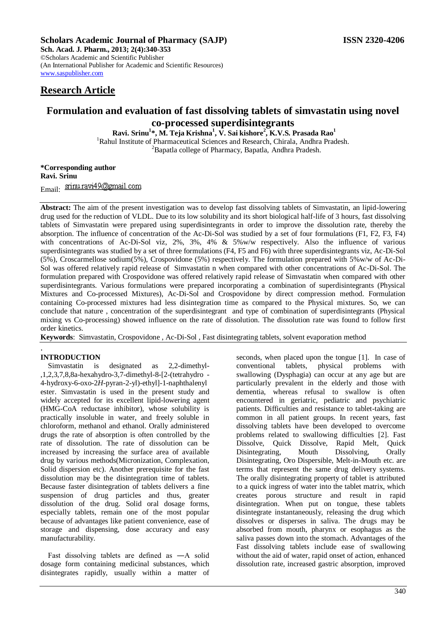## **Scholars Academic Journal of Pharmacy (SAJP) ISSN 2320-4206**

**Sch. Acad. J. Pharm., 2013; 2(4):340-353** ©Scholars Academic and Scientific Publisher (An International Publisher for Academic and Scientific Resources) [www.saspublisher.com](http://www.saspublisher.com/) 

# **Research Article**

# **Formulation and evaluation of fast dissolving tablets of simvastatin using novel co-processed superdisintegrants**

**Ravi. Srinu<sup>1</sup> \*, M. Teja Krishna<sup>1</sup> , V. Sai kishore<sup>2</sup> , K.V.S. Prasada Rao<sup>1</sup>**

<sup>1</sup>Rahul Institute of Pharmaceutical Sciences and Research, Chirala, Andhra Pradesh.

<sup>2</sup>Bapatla college of Pharmacy, Bapatla, Andhra Pradesh.

**\*Corresponding author Ravi. Srinu**

Email: srimu.ravi49@gmail.com

**Abstract:** The aim of the present investigation was to develop fast dissolving tablets of Simvastatin, an lipid-lowering drug used for the reduction of VLDL. Due to its low solubility and its short biological half-life of 3 hours, fast dissolving tablets of Simvastatin were prepared using superdisintegrants in order to improve the dissolution rate, thereby the absorption. The influence of concentration of the Ac-Di-Sol was studied by a set of four formulations (F1, F2, F3, F4) with concentrations of Ac-Di-Sol viz, 2%, 3%, 4% & 5%w/w respectively. Also the influence of various superdisintegrants was studied by a set of three formulations (F4, F5 and F6) with three superdisintegrants viz, Ac-Di-Sol (5%), Croscarmellose sodium(5%), Crospovidone (5%) respectively. The formulation prepared with 5%w/w of Ac-Di-Sol was offered relatively rapid release of Simvastatin n when compared with other concentrations of Ac-Di-Sol. The formulation prepared with Crospovidone was offered relatively rapid release of Simvastatin when compared with other superdisintegrants. Various formulations were prepared incorporating a combination of superdisintegrants (Physical Mixtures and Co-processed Mixtures), Ac-Di-Sol and Crospovidone by direct compression method. Formulation containing Co-processed mixtures had less disintegration time as compared to the Physical mixtures. So, we can conclude that nature , concentration of the superdisintegrant and type of combination of superdisintegrants (Physical mixing vs Co-processing) showed influence on the rate of dissolution. The dissolution rate was found to follow first order kinetics.

**Keywords**: Simvastatin, Crospovidone , Ac-Di-Sol , Fast disintegrating tablets, solvent evaporation method

## . **INTRODUCTION**

Simvastatin is designated as 2,2-dimethyl- ,1,2,3,7,8,8a-hexahydro-3,7-dimethyl-8-[2-(tetrahydro - 4-hydroxy-6-oxo-2*H*-pyran-2-yl)-ethyl]-1-naphthalenyl ester. Simvastatin is used in the present study and widely accepted for its excellent lipid-lowering agent (HMG-CoA reductase inhibitor), whose solubility is practically insoluble in water, and freely soluble in chloroform, methanol and ethanol. Orally administered drugs the rate of absorption is often controlled by the rate of dissolution. The rate of dissolution can be increased by increasing the surface area of available drug by various methods(Micronization, Complexation, Solid dispersion etc). Another prerequisite for the fast dissolution may be the disintegration time of tablets. Because faster disintegration of tablets delivers a fine suspension of drug particles and thus, greater dissolution of the drug. Solid oral dosage forms, especially tablets, remain one of the most popular because of advantages like patient convenience, ease of storage and dispensing, dose accuracy and easy manufacturability.

Fast dissolving tablets are defined as ―A solid dosage form containing medicinal substances, which disintegrates rapidly, usually within a matter of seconds, when placed upon the tongue [1]. In case of conventional tablets, physical problems with swallowing (Dysphagia) can occur at any age but are particularly prevalent in the elderly and those with dementia, whereas refusal to swallow is often encountered in geriatric, pediatric and psychiatric patients. Difficulties and resistance to tablet-taking are common in all patient groups. In recent years, fast dissolving tablets have been developed to overcome problems related to swallowing difficulties [2]. Fast Dissolve, Quick Dissolve, Rapid Melt, Quick Disintegrating, Mouth Dissolving, Orally Disintegrating, Oro Dispersible, Melt-in-Mouth etc. are terms that represent the same drug delivery systems. The orally disintegrating property of tablet is attributed to a quick ingress of water into the tablet matrix, which creates porous structure and result in rapid disintegration. When put on tongue, these tablets disintegrate instantaneously, releasing the drug which dissolves or disperses in saliva. The drugs may be absorbed from mouth, pharynx or esophagus as the saliva passes down into the stomach. Advantages of the Fast dissolving tablets include ease of swallowing without the aid of water, rapid onset of action, enhanced dissolution rate, increased gastric absorption, improved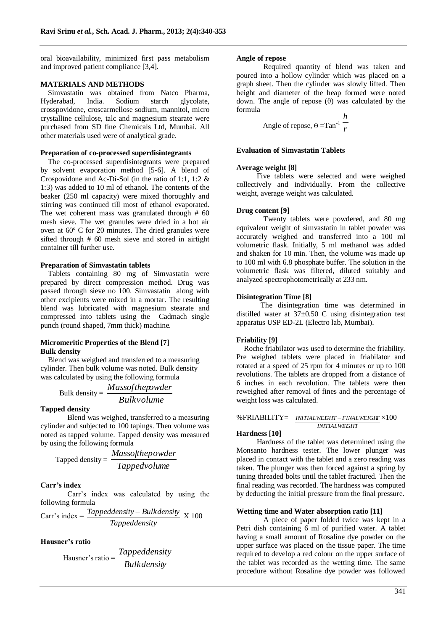oral bioavailability, minimized first pass metabolism and improved patient compliance [3,4].

#### **MATERIALS AND METHODS**

Simvastatin was obtained from Natco Pharma, Hyderabad, India. Sodium starch glycolate, crosspovidone, croscarmellose sodium, mannitol, micro crystalline cellulose, talc and magnesium stearate were purchased from SD fine Chemicals Ltd, Mumbai. All other materials used were of analytical grade.

## **Preparation of co-processed superdisintegrants**

The co-processed superdisintegrants were prepared by solvent evaporation method [5-6]. A blend of Crospovidone and Ac-Di-Sol (in the ratio of 1:1, 1:2 & 1:3) was added to 10 ml of ethanol. The contents of the beaker (250 ml capacity) were mixed thoroughly and stirring was continued till most of ethanol evaporated. The wet coherent mass was granulated through # 60 mesh sieve. The wet granules were dried in a hot air oven at 60º C for 20 minutes. The dried granules were sifted through # 60 mesh sieve and stored in airtight container till further use.

#### **Preparation of Simvastatin tablets**

Tablets containing 80 mg of Simvastatin were prepared by direct compression method. Drug was passed through sieve no 100. Simvastatin along with other excipients were mixed in a mortar. The resulting blend was lubricated with magnesium stearate and compressed into tablets using the Cadmach single punch (round shaped, 7mm thick) machine.

#### **Micromeritic Properties of the Blend [7] Bulk density**

Blend was weighed and transferred to a measuring cylinder. Then bulk volume was noted. Bulk density was calculated by using the following formula

$$
Bulk density = \frac{Mass of the powder}{Bulk volume}
$$

#### **Tapped density**

Blend was weighed, transferred to a measuring cylinder and subjected to 100 tapings. Then volume was noted as tapped volume. Tapped density was measured by using the following formula

$$
Tapped density = \frac{Massof the powder}{Tapped volume}
$$

#### **Carr's index**

Carr's index was calculated by using the following formula

Carr's index = 
$$
\frac{Tapped density - Bulk density}{Tapped density} \times 100
$$

## **Hausner's ratio**

$$
Hausner's ratio = \frac{Tapped density}{Bulk density}
$$

#### **Angle of repose**

Required quantity of blend was taken and poured into a hollow cylinder which was placed on a graph sheet. Then the cylinder was slowly lifted. Then height and diameter of the heap formed were noted down. The angle of repose (θ) was calculated by the formula

Angle of repose, 
$$
\theta = \text{Tan}^{-1} \frac{h}{r}
$$

### **Evaluation of Simvastatin Tablets**

#### **Average weight [8]**

Five tablets were selected and were weighed collectively and individually. From the collective weight, average weight was calculated.

## **Drug content [9]**

Twenty tablets were powdered, and 80 mg equivalent weight of simvastatin in tablet powder was accurately weighed and transferred into a 100 ml volumetric flask. Initially, 5 ml methanol was added and shaken for 10 min. Then, the volume was made up to 100 ml with 6.8 phosphate buffer. The solution in the volumetric flask was filtered, diluted suitably and analyzed spectrophotometrically at 233 nm.

#### **Disintegration Time [8]**

 The disintegration time was determined in distilled water at 37±0.50 C using disintegration test apparatus USP ED-2L (Electro lab, Mumbai).

### **Friability [9]**

Roche friabilator was used to determine the friability. Pre weighed tablets were placed in friabilator and rotated at a speed of 25 rpm for 4 minutes or up to 100 revolutions. The tablets are dropped from a distance of 6 inches in each revolution. The tablets were then reweighed after removal of fines and the percentage of weight loss was calculated.

#### %FRIABILITY= *INITIALWEIGHT FINALWEIGHT* ×100 *INITIALWEIGHT*

## **Hardness [10]**

Hardness of the tablet was determined using the Monsanto hardness tester. The lower plunger was placed in contact with the tablet and a zero reading was taken. The plunger was then forced against a spring by tuning threaded bolts until the tablet fractured. Then the final reading was recorded. The hardness was computed by deducting the initial pressure from the final pressure.

#### **Wetting time and Water absorption ratio [11]**

A piece of paper folded twice was kept in a Petri dish containing 6 ml of purified water. A tablet having a small amount of Rosaline dye powder on the upper surface was placed on the tissue paper. The time required to develop a red colour on the upper surface of the tablet was recorded as the wetting time. The same procedure without Rosaline dye powder was followed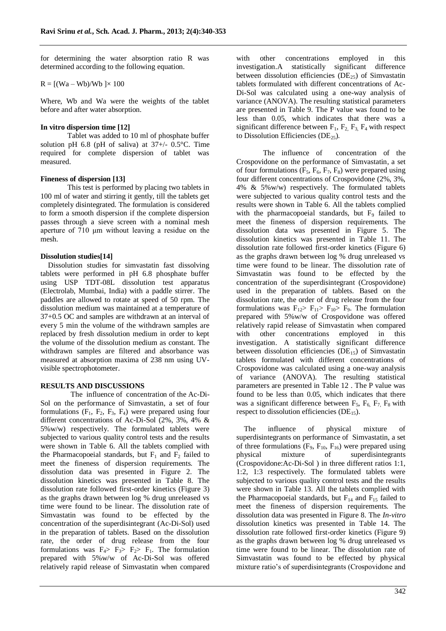for determining the water absorption ratio R was determined according to the following equation.

$$
R = [(Wa - Wb)/Wb ] \times 100
$$

Where, Wb and Wa were the weights of the tablet before and after water absorption.

## **In vitro dispersion time [12]**

Tablet was added to 10 ml of phosphate buffer solution pH 6.8 (pH of saliva) at  $37+/$ - 0.5°C. Time required for complete dispersion of tablet was measured.

## **Fineness of dispersion [13]**

This test is performed by placing two tablets in 100 ml of water and stirring it gently, till the tablets get completely disintegrated. The formulation is considered to form a smooth dispersion if the complete dispersion passes through a sieve screen with a nominal mesh aperture of 710 μm without leaving a residue on the mesh.

## **Dissolution studies[14]**

Dissolution studies for simvastatin fast dissolving tablets were performed in pH 6.8 phosphate buffer using USP TDT-08L dissolution test apparatus (Electrolab, Mumbai, India) with a paddle stirrer. The paddles are allowed to rotate at speed of 50 rpm. The dissolution medium was maintained at a temperature of 37+0.5 OC and samples are withdrawn at an interval of every 5 min the volume of the withdrawn samples are replaced by fresh dissolution medium in order to kept the volume of the dissolution medium as constant. The withdrawn samples are filtered and absorbance was measured at absorption maxima of 238 nm using UVvisible spectrophotometer.

## **RESULTS AND DISCUSSIONS**

 The influence of concentration of the Ac-Di-Sol on the performance of Simvastatin, a set of four formulations  $(F_1, F_2, F_3, F_4)$  were prepared using four different concentrations of Ac-Di-Sol (2%, 3%, 4% & 5%w/w) respectively. The formulated tablets were subjected to various quality control tests and the results were shown in Table 6. All the tablets complied with the Pharmacopoeial standards, but  $F_1$  and  $F_2$  failed to meet the fineness of dispersion requirements. The dissolution data was presented in Figure 2. The dissolution kinetics was presented in Table 8. The dissolution rate followed first-order kinetics (Figure 3) as the graphs drawn between log % drug unreleased vs time were found to be linear. The dissolution rate of Simvastatin was found to be effected by the concentration of the superdisintegrant (Ac-Di-Sol) used in the preparation of tablets. Based on the dissolution rate, the order of drug release from the four formulations was  $F_4$ >  $F_3$ >  $F_2$ >  $F_1$ . The formulation prepared with 5%w/w of Ac-Di-Sol was offered relatively rapid release of Simvastatin when compared

with other concentrations employed in this investigation.A statistically significant difference between dissolution efficiencies ( $DE_{25}$ ) of Simvastatin tablets formulated with different concentrations of Ac-Di-Sol was calculated using a one-way analysis of variance (ANOVA). The resulting statistical parameters are presented in Table 9. The P value was found to be less than 0.05, which indicates that there was a significant difference between  $F_1$ ,  $F_2$ ,  $F_3$ ,  $F_4$  with respect to Dissolution Efficiencies (DE $_{25}$ ).

The influence of concentration of the Crospovidone on the performance of Simvastatin, a set of four formulations  $(F_5, F_6, F_7, F_8)$  were prepared using four different concentrations of Crospovidone (2%, 3%, 4% & 5%w/w) respectively. The formulated tablets were subjected to various quality control tests and the results were shown in Table 6. All the tablets complied with the pharmacopoeial standards, but  $F_9$  failed to meet the fineness of dispersion requirements. The dissolution data was presented in Figure 5. The dissolution kinetics was presented in Table 11. The dissolution rate followed first-order kinetics (Figure 6) as the graphs drawn between log % drug unreleased vs time were found to be linear. The dissolution rate of Simvastatin was found to be effected by the concentration of the superdisintegrant (Crospovidone) used in the preparation of tablets. Based on the dissolution rate, the order of drug release from the four formulations was  $F_{12} > F_{11} > F_{10} > F_9$ . The formulation prepared with 5%w/w of Crospovidone was offered relatively rapid release of Simvastatin when compared with other concentrations employed in this investigation. A statistically significant difference between dissolution efficiencies ( $DE_{15}$ ) of Simvastatin tablets formulated with different concentrations of Crospovidone was calculated using a one-way analysis of variance (ANOVA). The resulting statistical parameters are presented in Table 12 . The P value was found to be less than 0.05, which indicates that there was a significant difference between  $F_5$ ,  $F_6$ ,  $F_7$ ,  $F_8$  with respect to dissolution efficiencies ( $DE_{15}$ ).

The influence of physical mixture of superdisintegrants on performance of Simvastatin, a set of three formulations  $(F_9, F_{10}, F_{16})$  were prepared using physical mixture of superdisintegrants (Crospovidone:Ac-Di-Sol ) in three different ratios 1:1, 1:2, 1:3 respectively. The formulated tablets were subjected to various quality control tests and the results were shown in Table 13. All the tablets complied with the Pharmacopoeial standards, but  $F_{14}$  and  $F_{15}$  failed to meet the fineness of dispersion requirements. The dissolution data was presented in Figure 8. The *In-vitro* dissolution kinetics was presented in Table 14. The dissolution rate followed first-order kinetics (Figure 9) as the graphs drawn between log % drug unreleased vs time were found to be linear. The dissolution rate of Simvastatin was found to be effected by physical mixture ratio's of superdisintegrants (Crospovidone and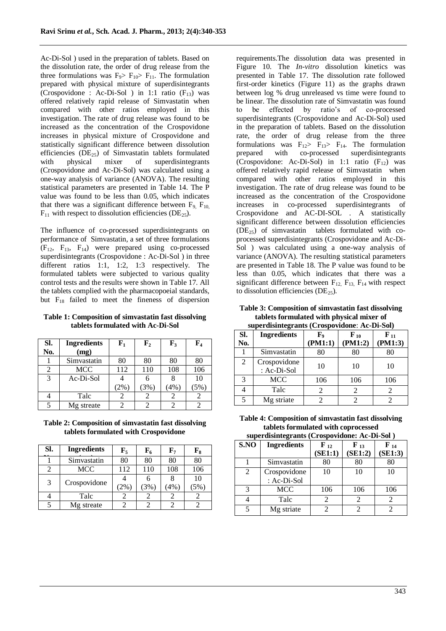Ac-Di-Sol ) used in the preparation of tablets. Based on the dissolution rate, the order of drug release from the three formulations was  $F_9 > F_{10} > F_{11}$ . The formulation prepared with physical mixture of superdisintegrants (Crospovidone : Ac-Di-Sol ) in 1:1 ratio  $(F_{13})$  was offered relatively rapid release of Simvastatin when compared with other ratios employed in this investigation. The rate of drug release was found to be increased as the concentration of the Crospovidone increases in physical mixture of Crospovidone and statistically significant difference between dissolution efficiencies ( $DE_{25}$ ) of Simvastatin tablets formulated with physical mixer of superdisintegrants (Crospovidone and Ac-Di-Sol) was calculated using a one-way analysis of variance (ANOVA). The resulting statistical parameters are presented in Table 14. The P value was found to be less than 0.05, which indicates that there was a significant difference between  $F<sub>9</sub>$ ,  $F<sub>10</sub>$ ,  $F_{11}$  with respect to dissolution efficiencies (DE<sub>25</sub>).

The influence of co-processed superdisintegrants on performance of Simvastatin, a set of three formulations  $(F_{12}, F_{13}, F_{14})$  were prepared using co-processed superdisintegrants (Crospovidone : Ac-Di-Sol ) in three different ratios 1:1, 1:2, 1:3 respectively. The formulated tablets were subjected to various quality control tests and the results were shown in Table 17. All the tablets complied with the pharmacopoeial standards, but  $F_{18}$  failed to meet the fineness of dispersion

**Table 1: Composition of simvastatin fast dissolving tablets formulated with Ac-Di-Sol**

| SI.<br>No. | <b>Ingredients</b><br>(mg) | ${\bf F_1}$ | ${\bf F_2}$ | $\mathbf{F}_3$ | ${\bf F_4}$ |
|------------|----------------------------|-------------|-------------|----------------|-------------|
|            | Simvastatin                | 80          | 80          | 80             | 80          |
| 2          | MCC                        | 112         | 110         | 108            | 106         |
| 3          | Ac-Di-Sol                  |             |             |                | 10          |
|            |                            | $(2\%)$     | (3%)        | (4%)           | 5%)         |
|            | Talc                       | 2           |             |                |             |
| 5          | Mg streate                 |             |             |                |             |

**Table 2: Composition of simvastatin fast dissolving tablets formulated with Crospovidone**

| SI.            | <b>Ingredients</b> | $\mathbf{F}_5$ | ${\bf F_6}$ | ${\bf F_7}$ | ${\bf F_8}$ |
|----------------|--------------------|----------------|-------------|-------------|-------------|
|                | Simvastatin        | 80             | 80          | 80          | 80          |
| $\mathfrak{D}$ | <b>MCC</b>         | 112            | 110         | 108         | 106         |
| 3              | Crospovidone       |                |             |             | 10          |
|                |                    | 2%             | $3\%$       | (4%)        | 5%          |
|                | Talc               |                |             |             |             |
|                | Mg streate         |                |             |             |             |

requirements.The dissolution data was presented in Figure 10. The *In-vitro* dissolution kinetics was presented in Table 17. The dissolution rate followed first-order kinetics (Figure 11) as the graphs drawn between log % drug unreleased vs time were found to be linear. The dissolution rate of Simvastatin was found to be effected by ratio's of co-processed superdisintegrants (Crospovidone and Ac-Di-Sol) used in the preparation of tablets. Based on the dissolution rate, the order of drug release from the three formulations was  $F_{12}$   $\overline{F}_{13}$   $\overline{F}_{14}$ . The formulation prepared with co-processed superdisintegrants (Crospovidone: Ac-Di-Sol) in 1:1 ratio  $(F_{12})$  was offered relatively rapid release of Simvastatin when compared with other ratios employed in this investigation. The rate of drug release was found to be increased as the concentration of the Crospovidone increases in co-processed superdisintegrants of Crospovidone and AC-DI-SOL . A statistically significant difference between dissolution efficiencies  $(DE_{25})$  of simvastatin tablets formulated with coprocessed superdisintegrants (Crospovidone and Ac-Di-Sol ) was calculated using a one-way analysis of variance (ANOVA). The resulting statistical parameters are presented in Table 18. The P value was found to be less than 0.05, which indicates that there was a significant difference between  $F_{12}$ ,  $F_{13}$ ,  $F_{14}$  with respect to dissolution efficiencies ( $DE<sub>25</sub>$ ).

**Table 3: Composition of simvastatin fast dissolving tablets formulated with physical mixer of superdisintegrants (Crospovidone**: **Ac-Di-Sol)**

|     | superuismiegrams (Crospovidone, Ac-Di-Sor) |         |                   |                   |  |  |  |  |  |
|-----|--------------------------------------------|---------|-------------------|-------------------|--|--|--|--|--|
| SI. | <b>Ingredients</b>                         | F,      | $\mathbf{F}_{10}$ | $\mathbf{F}_{11}$ |  |  |  |  |  |
| No. |                                            | (PM1:1) | (PM1:2)           | (PM1:3)           |  |  |  |  |  |
|     | Simvastatin                                | 80      | 80                | 80                |  |  |  |  |  |
| 2   | Crospovidone                               | 10      | 10                | 10                |  |  |  |  |  |
|     | : Ac-Di-Sol                                |         |                   |                   |  |  |  |  |  |
| 3   | <b>MCC</b>                                 | 106     | 106               | 106               |  |  |  |  |  |
|     | Talc                                       | 2       | 2                 | 2                 |  |  |  |  |  |
| 5   | Mg striate                                 | 2       |                   |                   |  |  |  |  |  |

**Table 4: Composition of simvastatin fast dissolving tablets formulated with coprocessed** 

|      | superdisintegrants (Crospovidone: Ac-Di-Sol) |                              |                             |                     |  |  |  |  |  |
|------|----------------------------------------------|------------------------------|-----------------------------|---------------------|--|--|--|--|--|
| S.NO | <b>Ingredients</b>                           | $\mathbf{F}_{12}$<br>(SE1:1) | $F_{13}$<br>(SE1:2)         | $F_{14}$<br>(SE1:3) |  |  |  |  |  |
|      | Simvastatin                                  | 80                           | 80                          | 80                  |  |  |  |  |  |
| 2    | Crospovidone<br>: Ac-Di-Sol                  | 10                           | 10                          | 10                  |  |  |  |  |  |
| 3    | <b>MCC</b>                                   | 106                          | 106                         | 106                 |  |  |  |  |  |
|      | Talc                                         | 2                            | $\mathcal{D}_{\mathcal{A}}$ | $\mathfrak{D}$      |  |  |  |  |  |
| 5    | Mg striate                                   | 2                            | 2                           | 2                   |  |  |  |  |  |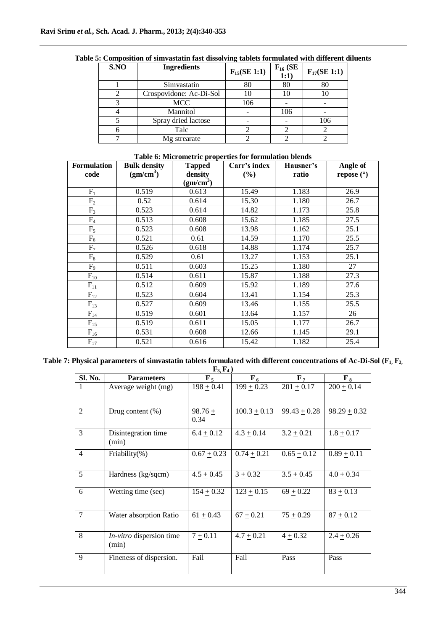| S.NO | <b>Ingredients</b>      | $F_{15}(SE 1:1)$ | $F_{16}$ (SE<br>1:1) | $F_{17}(SE 1:1)$ |
|------|-------------------------|------------------|----------------------|------------------|
|      | Simvastatin             | 80               | 80                   | 80               |
|      | Crospovidone: Ac-Di-Sol |                  | 10                   | 10               |
|      | <b>MCC</b>              | 106              |                      |                  |
|      | Mannitol                |                  | 106                  |                  |
|      | Spray dried lactose     |                  |                      | 106              |
|      | Talc                    |                  |                      |                  |
|      | Mg strearate            |                  |                      |                  |

## **Table 5: Composition of simvastatin fast dissolving tablets formulated with different diluents**

## **Table 6: Micrometric properties for formulation blends**

| <b>Formulation</b> | <b>Bulk density</b><br><b>Tapped</b> |                       | Carr's index | Hausner's | Angle of     |
|--------------------|--------------------------------------|-----------------------|--------------|-----------|--------------|
| code               | (gm/cm <sup>3</sup> )                | density               | (%)          | ratio     | repose $(°)$ |
|                    |                                      | (gm/cm <sup>3</sup> ) |              |           |              |
| $F_1$              | 0.519                                | 0.613                 | 15.49        | 1.183     | 26.9         |
| F <sub>2</sub>     | 0.52                                 | 0.614                 | 15.30        | 1.180     | 26.7         |
| $F_3$              | 0.523                                | 0.614                 | 14.82        | 1.173     | 25.8         |
| $F_4$              | 0.513                                | 0.608                 | 15.62        | 1.185     | 27.5         |
| $F_5$              | 0.523                                | 0.608                 | 13.98        | 1.162     | 25.1         |
| $F_6$              | 0.521                                | 0.61                  | 14.59        | 1.170     | 25.5         |
| $F_7$              | 0.526                                | 0.618                 | 14.88        | 1.174     | 25.7         |
| $F_8$              | 0.529                                | 0.61                  | 13.27        | 1.153     | 25.1         |
| $F_9$              | 0.511                                | 0.603                 | 15.25        | 1.180     | 27           |
| $F_{10}$           | 0.514                                | 0.611                 | 15.87        | 1.188     | 27.3         |
| $F_{11}$           | 0.512                                | 0.609                 | 15.92        | 1.189     | 27.6         |
| $F_{12}$           | 0.523                                | 0.604                 | 13.41        | 1.154     | 25.3         |
| $F_{13}$           | 0.527                                | 0.609                 | 13.46        | 1.155     | 25.5         |
| $F_{14}$           | 0.519                                | 0.601                 | 13.64        | 1.157     | 26           |
| $F_{15}$           | 0.519                                | 0.611                 | 15.05        | 1.177     | 26.7         |
| $F_{16}$           | 0.531                                | 0.608                 | 12.66        | 1.145     | 29.1         |
| $F_{17}$           | 0.521                                | 0.616                 | 15.42        | 1.182     | 25.4         |

#### **Table 7: Physical parameters of simvastatin tablets formulated with different concentrations of Ac-Di-Sol (F1, F2,**   $\mathbf{F}_3$   $\mathbf{F}_4$ )

| Sl. No.        | <b>Parameters</b>                 | $\mathbf{F}_{5}$  | $\mathbf{F}_6$   | $\mathbf{F}_{7}$ | $\mathbf{F}_8$ |
|----------------|-----------------------------------|-------------------|------------------|------------------|----------------|
| 1              | Average weight (mg)               | $198 + 0.41$      | $199 + 0.23$     | $201 + 0.17$     | $200 + 0.14$   |
|                |                                   |                   |                  |                  |                |
| 2              | Drug content (%)                  | $98.76 +$<br>0.34 | $100.3 \pm 0.13$ | $99.43 \pm 0.28$ | $98.29 + 0.32$ |
| 3              | Disintegration time<br>(min)      | $6.4 \pm 0.12$    | $4.3 \pm 0.14$   | $3.2 \pm 0.21$   | $1.8 \pm 0.17$ |
| $\overline{4}$ | Friability $(\%)$                 | $0.67 \pm 0.23$   | $0.74 + 0.21$    | $0.65 \pm 0.12$  | $0.89 + 0.11$  |
| 5              | Hardness (kg/sqcm)                | $4.5 + 0.45$      | $3 + 0.32$       | $3.5 + 0.45$     | $4.0 + 0.34$   |
| 6              | Wetting time (sec)                | $154 + 0.32$      | $123 + 0.15$     | $69 + 0.22$      | $83 + 0.13$    |
| $\overline{7}$ | Water absorption Ratio            | $61 \pm 0.43$     | $67 \pm 0.21$    | $75 \pm 0.29$    | $87 + 0.12$    |
| $\overline{8}$ | In-vitro dispersion time<br>(min) | $7 + 0.11$        | $4.7 \pm 0.21$   | $4 + 0.32$       | $2.4 + 0.26$   |
| 9              | Fineness of dispersion.           | Fail              | Fail             | Pass             | Pass           |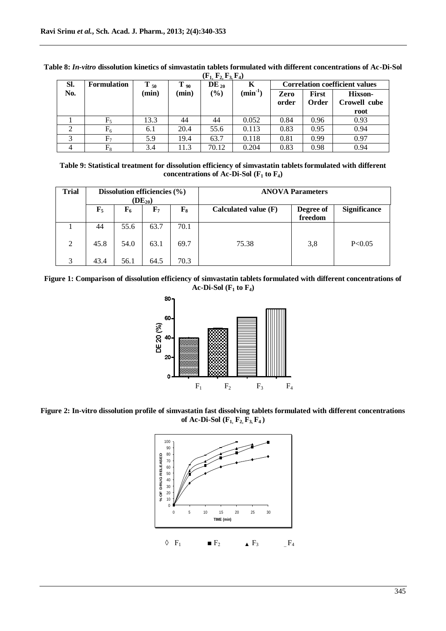| SI. | <b>Formulation</b> | $T_{50}$ | $T_{90}$ | $x - 1, -4, -5, -4$<br>$DE_{20}$ | Κ            | <b>Correlation coefficient values</b> |                       |                                |
|-----|--------------------|----------|----------|----------------------------------|--------------|---------------------------------------|-----------------------|--------------------------------|
| No. |                    | (min)    | (min)    | $(\%)$                           | $(min^{-1})$ | Zero<br>order                         | <b>First</b><br>Order | <b>Hixson-</b><br>Crowell cube |
|     |                    |          |          |                                  |              |                                       |                       | root                           |
|     | $F_5$              | 13.3     | 44       | 44                               | 0.052        | 0.84                                  | 0.96                  | 0.93                           |
| ∍   | $F_6$              | 6.1      | 20.4     | 55.6                             | 0.113        | 0.83                                  | 0.95                  | 0.94                           |
|     | $\mathrm{F}_7$     | 5.9      | 19.4     | 63.7                             | 0.118        | 0.81                                  | 0.99                  | 0.97                           |
| 4   | $\rm{F}_8$         | 3.4      | 11.3     | 70.12                            | 0.204        | 0.83                                  | 0.98                  | 0.94                           |

**Table 8:** *In-vitro* **dissolution kinetics of simvastatin tablets formulated with different concentrations of Ac-Di-Sol**   $(F_1, F_2, F_3, F_4)$ 

**Table 9: Statistical treatment for dissolution efficiency of simvastatin tablets formulated with different concentrations of Ac-Di-Sol** ( $F_1$  **to**  $F_4$ )

| <b>Trial</b> | Dissolution efficiencies $(\% )$<br>$(DE_{20})$ |             |             |       |                        | <b>ANOVA Parameters</b> |                     |
|--------------|-------------------------------------------------|-------------|-------------|-------|------------------------|-------------------------|---------------------|
|              | $\mathbf{F}_5$                                  | ${\bf F_6}$ | ${\bf F}_7$ | $F_8$ | Calculated value $(F)$ | Degree of<br>freedom    | <b>Significance</b> |
|              | 44                                              | 55.6        | 63.7        | 70.1  |                        |                         |                     |
| 2            | 45.8                                            | 54.0        | 63.1        | 69.7  | 75.38                  | 3,8                     | P<0.05              |
| 3            | 43.4                                            | 56.1        | 64.5        | 70.3  |                        |                         |                     |

**Figure 1: Comparison of dissolution efficiency of simvastatin tablets formulated with different concentrations of Ac-Di-Sol (F<sup>1</sup> to F4)**



Figure 2: In-vitro dissolution profile of simvastatin fast dissolving tablets formulated with different concentrations **of Ac-Di-Sol**  $(F_1, F_2, F_3, F_4)$ 

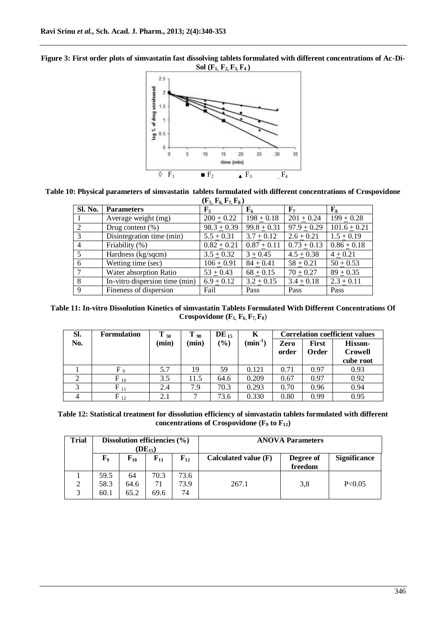



**Table 10: Physical parameters of simvastatin tablets formulated with different concentrations of Crospovidone** 

|                |                                | $(F_5, F_6, F_7, F_8)$ |                            |                  |                |
|----------------|--------------------------------|------------------------|----------------------------|------------------|----------------|
| <b>Sl. No.</b> | <b>Parameters</b>              | $\mathbf{F}_5$         | $F_6$                      | $\mathbf{F}_{7}$ | $\mathbf{F}_8$ |
|                | Average weight (mg)            | $200 + 0.22$           | $198 + 0.18$               | $201 + 0.24$     | $199 + 0.28$   |
| 2              | Drug content $(\% )$           | $98.3 + 0.39$          | $99.8 + 0.31$              | $97.9 + 0.29$    | $101.6 + 0.21$ |
| 3              | Disintegration time (min)      | $5.5 + 0.31$           | $3.7 + 0.12$               | $2.6 + 0.21$     | $1.5 + 0.19$   |
| $\overline{4}$ | Friability $(\%)$              | $0.82 + 0.21$          | $\overline{0.87} \pm 0.11$ | $0.73 + 0.13$    | $0.86 + 0.18$  |
| 5              | Hardness (kg/sqcm)             | $3.5 + 0.32$           | $3 + 0.45$                 | $4.5 + 0.38$     | $4 + 0.21$     |
| 6              | Wetting time (sec)             | $106 + 0.91$           | $84 + 0.41$                | $58 + 0.21$      | $50 + 0.53$    |
|                | Water absorption Ratio         | $53 + 0.43$            | $68 + 0.15$                | $70 + 0.27$      | $89 + 0.35$    |
| 8              | In-vitro dispersion time (min) | $6.9 + 0.12$           | $3.2 + 0.15$               | $3.4 + 0.18$     | $2.3 + 0.11$   |
| 9              | Fineness of dispersion         | Fail                   | Pass                       | Pass             | Pass           |

**Table 11: In-vitro Dissolution Kinetics of simvastatin Tablets Formulated With Different Concentrations Of Crospovidone (F5, F6, F7, F8**)

| SI. | <b>Formulation</b> | $T_{50}$ | $T_{90}$ | $DE_{15}$                    | K                   | <b>Correlation coefficient values</b> |                       |                           |
|-----|--------------------|----------|----------|------------------------------|---------------------|---------------------------------------|-----------------------|---------------------------|
| No. |                    | (min)    | min)     | $\left( \frac{9}{6} \right)$ | $(\text{min}^{-1})$ | Zero<br>order                         | <b>First</b><br>Order | Hixson-<br><b>Crowell</b> |
|     |                    |          |          |                              |                     |                                       |                       | cube root                 |
|     | $F_{9}$            | 5.7      | 19       | 59                           | 0.121               | 0.71                                  | 0.97                  | 0.93                      |
|     | $F_{10}$           | 3.5      | 11.5     | 64.6                         | 0.209               | 0.67                                  | 0.97                  | 0.92                      |
|     | $F_{11}$           | 2.4      | 7.9      | 70.3                         | 0.293               | 0.70                                  | 0.96                  | 0.94                      |
| 4   | $F_{12}$           | 2.1      |          | 73.6                         | 0.330               | 0.80                                  | 0.99                  | 0.95                      |

**Table 12: Statistical treatment for dissolution efficiency of simvastatin tablets formulated with different**  concentrations of Crospovidone ( $F_9$  to  $F_{12}$ )

| Trial               | Dissolution efficiencies $(\% )$<br>$(DE_{15})$ |              |                |            |                      | <b>ANOVA Parameters</b> |                     |
|---------------------|-------------------------------------------------|--------------|----------------|------------|----------------------|-------------------------|---------------------|
|                     | ${\bf F_9}$                                     | $F_{10}$     | ${\bf F_{11}}$ | $F_{12}$   | Calculated value (F) | Degree of<br>freedom    | <b>Significance</b> |
|                     | 59.5                                            | 64           | 70.3           | 73.6       |                      |                         |                     |
| $\overline{2}$<br>3 | 58.3<br>60.1                                    | 64.6<br>65.2 | 71<br>69.6     | 73.9<br>74 | 267.1                | 3,8                     | P<0.05              |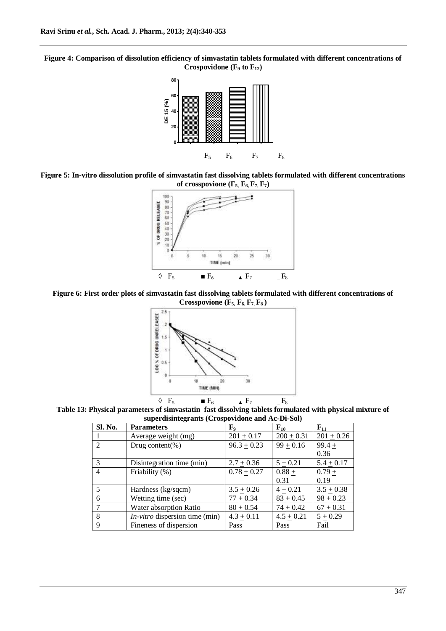**Figure 4: Comparison of dissolution efficiency of simvastatin tablets formulated with different concentrations of Crospovidone (F<sup>9</sup> to F12)**



**Figure 5: In-vitro dissolution profile of simvastatin fast dissolving tablets formulated with different concentrations**  of crosspovione  $(F_5, F_6, F_7, F_7)$ 



**Figure 6: First order plots of simvastatin fast dissolving tablets formulated with different concentrations of Crosspovione (F5, F6, F7, F8 )**



**Table 13: Physical parameters of simvastatin fast dissolving tablets formulated with physical mixture of superdisintegrants (Crospovidone and Ac-Di-Sol)**

| Sl. No.        | $\frac{1}{2}$<br><b>Parameters</b>    | ${\bf F_9}$              | $F_{10}$     | $F_{11}$     |
|----------------|---------------------------------------|--------------------------|--------------|--------------|
|                | Average weight (mg)                   | $201 + 0.17$             | $200 + 0.31$ | $201 + 0.26$ |
| $\overline{2}$ | Drug content(%)                       | $96.3 + 0.23$            | $99 + 0.16$  | $99.4 +$     |
|                |                                       |                          |              | 0.36         |
| 3              | Disintegration time (min)             | $2.7 + 0.36$             | $5 + 0.21$   | $5.4 + 0.17$ |
| $\overline{4}$ | Friability (%)                        | $\overline{0.78} + 0.27$ | $0.88 +$     | $0.79 +$     |
|                |                                       |                          | 0.31         | 0.19         |
| -5             | Hardness (kg/sqcm)                    | $3.5 + 0.26$             | $4 + 0.21$   | $3.5 + 0.38$ |
| -6             | Wetting time (sec)                    | $77 + 0.34$              | $83 + 0.45$  | $98 + 0.23$  |
|                | Water absorption Ratio                | $80 + 0.54$              | $74 + 0.42$  | $67 + 0.31$  |
| 8              | <i>In-vitro</i> dispersion time (min) | $4.3 + 0.11$             | $4.5 + 0.21$ | $5 + 0.29$   |
| 9              | Fineness of dispersion                | Pass                     | Pass         | Fail         |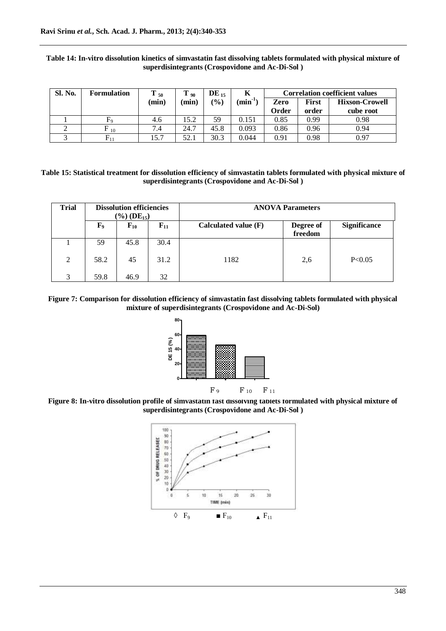| Sl. No. | <b>Formulation</b>   | 50    | $1\,90$  | $DE_{15}$ | Κ            |       |              | <b>Correlation coefficient values</b> |
|---------|----------------------|-------|----------|-----------|--------------|-------|--------------|---------------------------------------|
|         |                      | (min) | $(\min)$ | (%)       | $(min^{-1})$ | Zero  | <b>First</b> | <b>Hixson-Crowell</b>                 |
|         |                      |       |          |           |              | Order | order        | cube root                             |
|         |                      | 4.6   | 15.2     | 59        | 0.151        | 0.85  | 0.99         | 0.98                                  |
|         | F<br>$\overline{10}$ | 7.4   | 24.7     | 45.8      | 0.093        | 0.86  | 0.96         | 0.94                                  |
| ◠       | ${\rm F}_{11}$       | 15.7  | 52.1     | 30.3      | 0.044        | 0.91  | 0.98         | 0.97                                  |

## **Table 14: In-vitro dissolution kinetics of simvastatin fast dissolving tablets formulated with physical mixture of superdisintegrants (Crospovidone and Ac-Di-Sol )**

**Table 15: Statistical treatment for dissolution efficiency of simvastatin tablets formulated with physical mixture of superdisintegrants (Crospovidone and Ac-Di-Sol )**

| <b>Trial</b> |             | <b>Dissolution efficiencies</b><br>$(\%)(DE_{15})$ |          |                      | <b>ANOVA Parameters</b> |                     |
|--------------|-------------|----------------------------------------------------|----------|----------------------|-------------------------|---------------------|
|              | ${\bf F}_9$ | $F_{10}$                                           | $F_{11}$ | Calculated value (F) | Degree of<br>freedom    | <b>Significance</b> |
|              | 59          | 45.8                                               | 30.4     |                      |                         |                     |
| 2            | 58.2        | 45                                                 | 31.2     | 1182                 | 2,6                     | P<0.05              |
| 3            | 59.8        | 46.9                                               | 32       |                      |                         |                     |

**Figure 7: Comparison for dissolution efficiency of simvastatin fast dissolving tablets formulated with physical mixture of superdisintegrants (Crospovidone and Ac-Di-Sol)**



**Figure 8: In-vitro dissolution profile of simvastatin fast dissolving tablets formulated with physical mixture of superdisintegrants (Crospovidone and Ac-Di-Sol )**

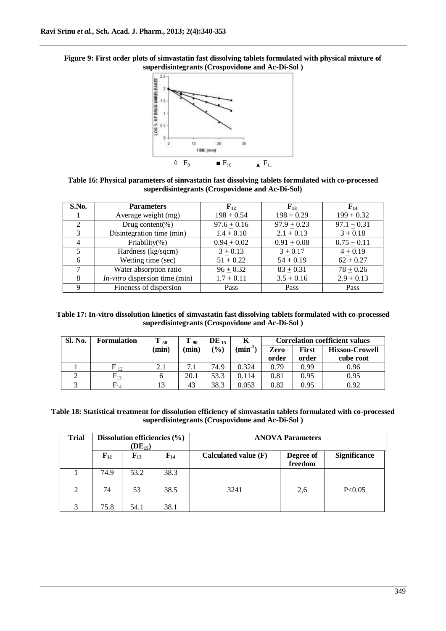



**Table 16: Physical parameters of simvastatin fast dissolving tablets formulated with co-processed superdisintegrants (Crospovidone and Ac-Di-Sol)**

| S.No.          | <b>Parameters</b>                | $F_{12}$        | $F_{13}$        | $F_{14}$        |
|----------------|----------------------------------|-----------------|-----------------|-----------------|
|                | Average weight (mg)              | $198 + 0.54$    | $198 + 0.29$    | $199 + 0.32$    |
| $\mathfrak{D}$ | Drug content(%)                  | $97.6 \pm 0.16$ | $97.9 \pm 0.23$ | $97.1 \pm 0.31$ |
| 3              | Disintegration time (min)        | $1.4 \pm 0.10$  | $2.1 \pm 0.13$  | $3 \pm 0.18$    |
| 4              | Friability(%)                    | $0.94 + 0.02$   | $0.91 + 0.08$   | $0.75 + 0.11$   |
|                | Hardness (kg/sqcm)               | $3 + 0.13$      | $3 + 0.17$      | $4 + 0.19$      |
| 6              | Wetting time (sec)               | $51 + 0.22$     | $54 + 0.19$     | $62 + 0.27$     |
|                | Water absorption ratio           | $96 + 0.32$     | $83 + 0.31$     | $78 + 0.26$     |
| 8              | $In-vitro$ dispersion time (min) | $1.7 + 0.11$    | $3.5 + 0.16$    | $2.9 + 0.13$    |
| 9              | Fineness of dispersion           | Pass            | Pass            | Pass            |

**Table 17: In-vitro dissolution kinetics of simvastatin fast dissolving tablets formulated with co-processed superdisintegrants (Crospovidone and Ac-Di-Sol )**

| <b>Sl. No.</b> | <b>Formulation</b> | $\mathbf{T}_{50}$ | $T_{90}$ | $\text{DE}_{15}$ | K                   | <b>Correlation coefficient values</b> |              |                       |
|----------------|--------------------|-------------------|----------|------------------|---------------------|---------------------------------------|--------------|-----------------------|
|                |                    | (min)             | min)     | (%)              | $(\text{min}^{-1})$ | Zero                                  | <b>First</b> | <b>Hixson-Crowell</b> |
|                |                    |                   |          |                  |                     | order                                 | order        | cube root             |
|                | $F_{12}$           | 2.1               | 7.1      | 74.9             | 0.324               | 0.79                                  | 0.99         | 0.96                  |
|                | $\mathrm{F}_{13}$  |                   | 20.1     | 53.3             | 0.114               | 0.81                                  | 0.95         | 0.95                  |
|                | $\mathrm{F}_{14}$  |                   | 43       | 38.3             | 0.053               | 0.82                                  | 0.95         | 0.92                  |

**Table 18: Statistical treatment for dissolution efficiency of simvastatin tablets formulated with co-processed superdisintegrants (Crospovidone and Ac-Di-Sol )**

| <b>Trial</b> |          | $(DE_{15})$ | Dissolution efficiencies $(\% )$ |                      | <b>ANOVA Parameters</b> |                     |
|--------------|----------|-------------|----------------------------------|----------------------|-------------------------|---------------------|
|              | $F_{12}$ | $F_{13}$    | $F_{14}$                         | Calculated value (F) | Degree of<br>freedom    | <b>Significance</b> |
|              | 74.9     | 53.2        | 38.3                             |                      |                         |                     |
| 2            | 74       | 53          | 38.5                             | 3241                 | 2,6                     | P < 0.05            |
| 3            | 75.8     | 54.1        | 38.1                             |                      |                         |                     |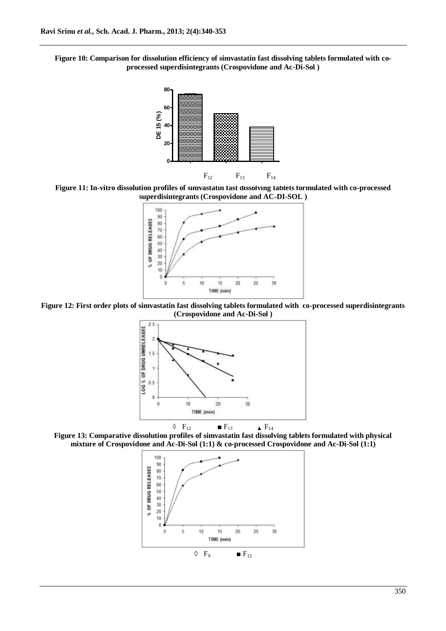**Figure 10: Comparison for dissolution efficiency of simvastatin fast dissolving tablets formulated with coprocessed superdisintegrants (Crospovidone and Ac-Di-Sol )**



**Figure 11: In-vitro dissolution profiles of simvastatin fast dissolving tablets formulated with co-processed superdisintegrants (Crospovidone and AC-DI-SOL )**



**Figure 12: First order plots of simvastatin fast dissolving tablets formulated with co-processed superdisintegrants (Crospovidone and Ac-Di-Sol )**



**Figure 13: Comparative dissolution profiles of simvastatin fast dissolving tablets formulated with physical mixture of Crospovidone and Ac-Di-Sol (1:1) & co-processed Crospovidone and Ac-Di-Sol (1:1)**

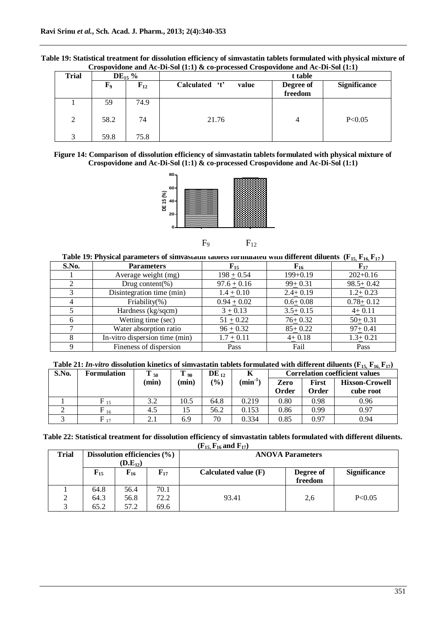| Table 19: Statistical treatment for dissolution efficiency of simvastatin tablets formulated with physical mixture of |  |
|-----------------------------------------------------------------------------------------------------------------------|--|
| Crospovidone and Ac-Di-Sol $(1:1)$ & co-processed Crospovidone and Ac-Di-Sol $(1:1)$                                  |  |

| <b>Trial</b> |             | $DE_{15}$ % |                         | t table              |                     |
|--------------|-------------|-------------|-------------------------|----------------------|---------------------|
|              | ${\bf F}_9$ | $F_{12}$    | Calculated 't'<br>value | Degree of<br>freedom | <b>Significance</b> |
|              | 59          | 74.9        |                         |                      |                     |
| 2            | 58.2        | 74          | 21.76                   | 4                    | P<0.05              |
| 3            | 59.8        | 75.8        |                         |                      |                     |

**Figure 14: Comparison of dissolution efficiency of simvastatin tablets formulated with physical mixture of Crospovidone and Ac-Di-Sol (1:1) & co-processed Crospovidone and Ac-Di-Sol (1:1)**



 $F_9$   $F_{12}$ 

|  |  |  | Table 19: Physical parameters of simvastatun tablets formulated with different diluents ( $F_{15}$ , $F_{16}$ , $F_{17}$ ) |  |  |  |  |
|--|--|--|----------------------------------------------------------------------------------------------------------------------------|--|--|--|--|
|--|--|--|----------------------------------------------------------------------------------------------------------------------------|--|--|--|--|

| S.No. | <b>Parameters</b>              | ${\bf F_{15}}$ | $\mathbf{F_{16}}$ | ${\bf F_{17}}$ |
|-------|--------------------------------|----------------|-------------------|----------------|
|       | Average weight (mg)            | $198 + 0.54$   | $199+0.19$        | $202+0.16$     |
|       | Drug content(%)                | $97.6 + 0.16$  | $99 + 0.31$       | $98.5 + 0.42$  |
|       | Disintegration time (min)      | $1.4 + 0.10$   | $2.4 + 0.19$      | $1.2 + 0.23$   |
| 4     | Friability $(\%)$              | $0.94 + 0.02$  | $0.6 + 0.08$      | $0.78 + 0.12$  |
|       | Hardness (kg/sqcm)             | $3 + 0.13$     | $3.5 + 0.15$      | $4+0.11$       |
| 6     | Wetting time (sec)             | $51 + 0.22$    | $76 + 0.32$       | $50+0.31$      |
|       | Water absorption ratio         | $96 + 0.32$    | $85 + 0.22$       | $97 + 0.41$    |
| 8     | In-vitro dispersion time (min) | $1.7 + 0.11$   | $4 + 0.18$        | $1.3 + 0.21$   |
|       | Fineness of dispersion         | Pass           | Fail              | Pass           |

| Table 21: <i>In-vitro</i> dissolution kinetics of simvastatin tablets formulated with different diluents ( $F_{15}$ , $F_{16}$ , $F_{17}$ ) |  |
|---------------------------------------------------------------------------------------------------------------------------------------------|--|
|---------------------------------------------------------------------------------------------------------------------------------------------|--|

| S.No. | <b>Formulation</b> | $T_{50}$ | $\mathbf{r}$<br>- 90 | $DE_{12}$ | N            |               |                | <b>Correlation coefficient values</b> |
|-------|--------------------|----------|----------------------|-----------|--------------|---------------|----------------|---------------------------------------|
|       |                    | (min)    | (min)                | (%)       | $(min^{-1})$ | Zero<br>Order | First<br>Order | <b>Hixson-Crowell</b><br>cube root    |
|       | $F_{15}$           | 3.2      | 10.5                 | 64.8      | 0.219        | 0.80          | 0.98           | 0.96                                  |
|       | $F_{16}$           | 4.5      |                      | 56.2      | 0.153        | 0.86          | 0.99           | 0.97                                  |
|       | $F_{17}$           | 2.1      | 6.9                  | 70        | 0.334        | 0.85          | 0.97           | 0.94                                  |

**Table 22: Statistical treatment for dissolution efficiency of simvastatin tablets formulated with different diluents.**   $(F_{15}, F_{16} \text{ and } F_{17})$ 

| Trial         | Dissolution efficiencies $(\% )$<br>$(D.E_{12})$ |                   |                | <b>ANOVA Parameters</b> |                      |                     |
|---------------|--------------------------------------------------|-------------------|----------------|-------------------------|----------------------|---------------------|
|               | $\mathbf{F}_{15}$                                | $\mathbf{F_{16}}$ | ${\bf F_{17}}$ | Calculated value $(F)$  | Degree of<br>freedom | <b>Significance</b> |
|               | 64.8                                             | 56.4              | 70.1           |                         |                      |                     |
| $\mathcal{D}$ | 64.3                                             | 56.8              | 72.2           | 93.41                   | 2,6                  | P<0.05              |
| $\mathbf{z}$  | 65.2                                             | 57.2              | 69.6           |                         |                      |                     |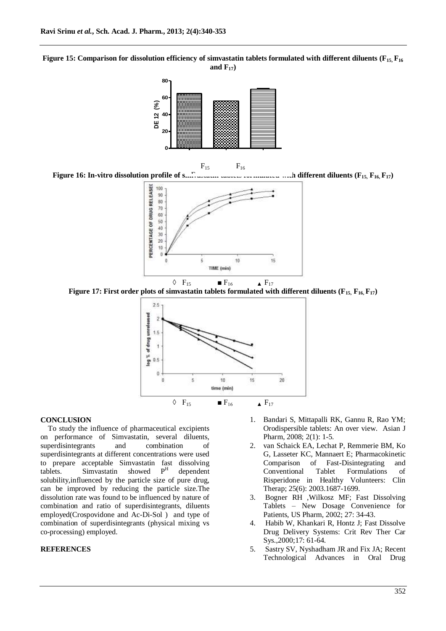**Figure 15: Comparison for dissolution efficiency of simvastatin tablets formulated with different diluents (F15, F<sup>16</sup> and F17)**



**Figure 16: In-vitro dissolution profile of simvastatin tablets formulated with different diluents (F15, F16, F17)** F<sup>17</sup>



**Figure 17: First order plots of simvastatin tablets formulated with different diluents (** $\mathbf{F}_{15}$ **,**  $\mathbf{F}_{16}$ **,**  $\mathbf{F}_{17}$ **)** 



#### **CONCLUSION**

To study the influence of pharmaceutical excipients on performance of Simvastatin, several diluents, superdisintegrants and combination of superdisintegrants at different concentrations were used to prepare acceptable Simvastatin fast dissolving<br>tablets. Simvastatin showed  $P<sup>H</sup>$  denendent tablets. Simvastatin showed dependent solubility,influenced by the particle size of pure drug, can be improved by reducing the particle size.The dissolution rate was found to be influenced by nature of combination and ratio of superdisintegrants, diluents employed(Crospovidone and Ac-Di-Sol ) and type of combination of superdisintegrants (physical mixing vs co-processing) employed.

## **REFERENCES**

- 1. Bandari S, Mittapalli RK, Gannu R, Rao YM; Orodispersible tablets: An over view. Asian J Pharm, 2008; 2(1): 1-5.
- 2. van Schaick EA, Lechat P, Remmerie BM, Ko G, Lasseter KC, Mannaert E; Pharmacokinetic Comparison of Fast-Disintegrating and Conventional Tablet Formulations of Risperidone in Healthy Volunteers: Clin Therap; 25(6): 2003.1687-1699.
- 3. Bogner RH ,Wilkosz MF; Fast Dissolving Tablets – New Dosage Convenience for Patients, US Pharm, 2002; 27: 34-43.
- 4. Habib W, Khankari R, Hontz J; Fast Dissolve Drug Delivery Systems: Crit Rev Ther Car Sys.,2000;17: 61-64.
- 5. Sastry SV, Nyshadham JR and Fix JA; Recent Technological Advances in Oral Drug